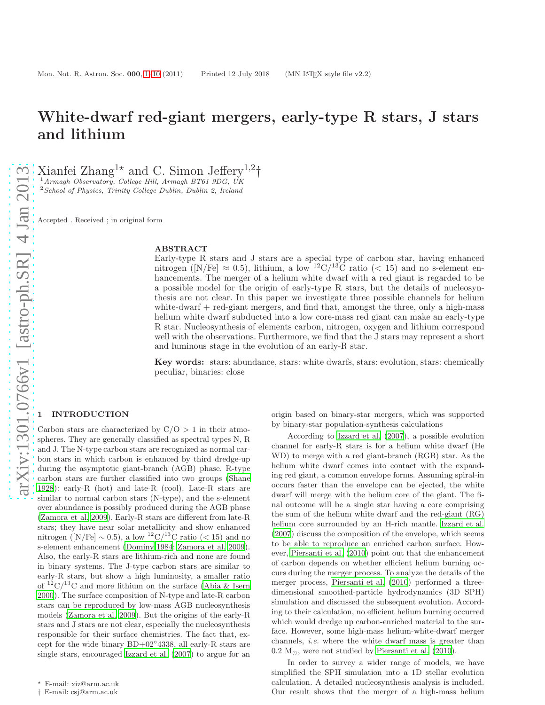# White-dwarf red-giant mergers, early-type R stars, J stars and lithium

Xianfei Zhang<sup>1\*</sup> and C. Simon Jeffery<sup>1,2</sup>†

 $1$ Armagh Observatory, College Hill, Armagh BT61 9DG, UK

<sup>2</sup>School of Physics, Trinity College Dublin, Dublin 2, Ireland

Accepted . Received ; in original form

## ABSTRACT

Early-type R stars and J stars are a special type of carbon star, having enhanced nitrogen ([N/Fe]  $\approx$  0.5), lithium, a low <sup>12</sup>C/<sup>13</sup>C ratio (< 15) and no s-element enhancements. The merger of a helium white dwarf with a red giant is regarded to be a possible model for the origin of early-type R stars, but the details of nucleosynthesis are not clear. In this paper we investigate three possible channels for helium white-dwarf + red-giant mergers, and find that, amongst the three, only a high-mass helium white dwarf subducted into a low core-mass red giant can make an early-type R star. Nucleosynthesis of elements carbon, nitrogen, oxygen and lithium correspond well with the observations. Furthermore, we find that the J stars may represent a short and luminous stage in the evolution of an early-R star.

Key words: stars: abundance, stars: white dwarfs, stars: evolution, stars: chemically peculiar, binaries: close

# <span id="page-0-0"></span>**INTRODUCTION**

Carbon stars are characterized by  $C/O > 1$  in their atmospheres. They are generally classified as spectral types N, R and J. The N-type carbon stars are recognized as normal carbon stars in which carbon is enhanced by third dredge-up during the asymptotic giant-branch (AGB) phase. R-type carbon stars are further classified into two groups [\(Shane](#page-9-0) [1928](#page-9-0)): early-R (hot) and late-R (cool). Late-R stars are similar to normal carbon stars (N-type), and the s-element over abundance is possibly produced during the AGB phase [\(Zamora et al. 2009\)](#page-9-1). Early-R stars are different from late-R stars; they have near solar metallicity and show enhanced nitrogen ([N/Fe]  $\sim$  0.5), a low <sup>12</sup>C/<sup>13</sup>C ratio (< 15) and no s-element enhancement [\(Dominy 1984](#page-8-0); [Zamora et al. 2009](#page-9-1)). Also, the early-R stars are lithium-rich and none are found in binary systems. The J-type carbon stars are similar to early-R stars, but show a high luminosity, a smaller ratio of  ${}^{12}C/{}^{13}C$  and more lithium on the surface [\(Abia & Isern](#page-8-1) [2000](#page-8-1)). The surface composition of N-type and late-R carbon stars can be reproduced by low-mass AGB nucleosynthesis models [\(Zamora et al. 2009](#page-9-1)). But the origins of the early-R stars and J stars are not clear, especially the nucleosynthesis responsible for their surface chemistries. The fact that, except for the wide binary BD+02◦ 4338, all early-R stars are single stars, encouraged [Izzard et al. \(2007](#page-8-2)) to argue for an origin based on binary-star mergers, which was supported by binary-star population-synthesis calculations

According to [Izzard et al. \(2007](#page-8-2)), a possible evolution channel for early-R stars is for a helium white dwarf (He WD) to merge with a red giant-branch (RGB) star. As the helium white dwarf comes into contact with the expanding red giant, a common envelope forms. Assuming spiral-in occurs faster than the envelope can be ejected, the white dwarf will merge with the helium core of the giant. The final outcome will be a single star having a core comprising the sum of the helium white dwarf and the red-giant (RG) helium core surrounded by an H-rich mantle. [Izzard et al.](#page-8-2) [\(2007](#page-8-2)) discuss the composition of the envelope, which seems to be able to reproduce an enriched carbon surface. However, [Piersanti et al. \(2010\)](#page-9-2) point out that the enhancement of carbon depends on whether efficient helium burning occurs during the merger process. To analyze the details of the merger process, [Piersanti et al. \(2010](#page-9-2)) performed a threedimensional smoothed-particle hydrodynamics (3D SPH) simulation and discussed the subsequent evolution. According to their calculation, no efficient helium burning occurred which would dredge up carbon-enriched material to the surface. However, some high-mass helium-white-dwarf merger channels, i.e. where the white dwarf mass is greater than 0.2 M⊙, were not studied by [Piersanti et al. \(2010](#page-9-2)).

In order to survey a wider range of models, we have simplified the SPH simulation into a 1D stellar evolution calculation. A detailed nucleosynthesis analysis is included. Our result shows that the merger of a high-mass helium

<sup>⋆</sup> E-mail: xiz@arm.ac.uk

<sup>†</sup> E-mail: csj@arm.ac.uk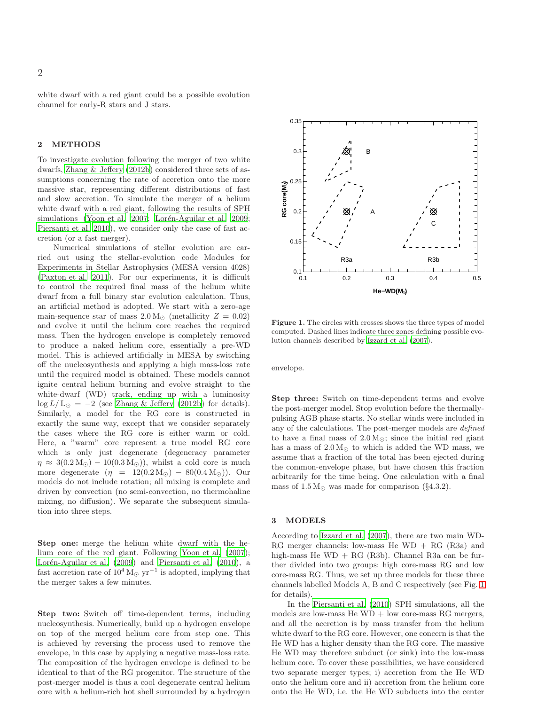white dwarf with a red giant could be a possible evolution channel for early-R stars and J stars.

## 2 METHODS

To investigate evolution following the merger of two white dwarfs, [Zhang & Jeffery \(2012b](#page-9-3)) considered three sets of assumptions concerning the rate of accretion onto the more massive star, representing different distributions of fast and slow accretion. To simulate the merger of a helium white dwarf with a red giant, following the results of SPH simulations [\(Yoon et al. 2007;](#page-9-4) Lorén-Aguilar et al. 2009; [Piersanti et al. 2010](#page-9-2)), we consider only the case of fast accretion (or a fast merger).

Numerical simulations of stellar evolution are carried out using the stellar-evolution code Modules for Experiments in Stellar Astrophysics (MESA version 4028) [\(Paxton et al. 2011\)](#page-8-4). For our experiments, it is difficult to control the required final mass of the helium white dwarf from a full binary star evolution calculation. Thus, an artificial method is adopted. We start with a zero-age main-sequence star of mass  $2.0 M_{\odot}$  (metallicity  $Z = 0.02$ ) and evolve it until the helium core reaches the required mass. Then the hydrogen envelope is completely removed to produce a naked helium core, essentially a pre-WD model. This is achieved artificially in MESA by switching off the nucleosynthesis and applying a high mass-loss rate until the required model is obtained. These models cannot ignite central helium burning and evolve straight to the white-dwarf (WD) track, ending up with a luminosity  $\log L/L_{\odot} = -2$  (see [Zhang & Jeffery \(2012b](#page-9-3)) for details). Similarly, a model for the RG core is constructed in exactly the same way, except that we consider separately the cases where the RG core is either warm or cold. Here, a "warm" core represent a true model RG core which is only just degenerate (degeneracy parameter  $\eta \approx 3(0.2 \text{ M}_{\odot}) - 10(0.3 \text{ M}_{\odot})$ , whilst a cold core is much more degenerate  $(\eta = 12(0.2 M_{\odot}) - 80(0.4 M_{\odot}))$ . Our models do not include rotation; all mixing is complete and driven by convection (no semi-convection, no thermohaline mixing, no diffusion). We separate the subsequent simulation into three steps.

Step one: merge the helium white dwarf with the helium core of the red giant. Following [Yoon et al. \(2007](#page-9-4)); Lorén-Aguilar et al. (2009) and [Piersanti et al. \(2010](#page-9-2)), a fast accretion rate of  $10^4 M_{\odot}$  yr<sup>-1</sup> is adopted, implying that the merger takes a few minutes.

Step two: Switch off time-dependent terms, including nucleosynthesis. Numerically, build up a hydrogen envelope on top of the merged helium core from step one. This is achieved by reversing the process used to remove the envelope, in this case by applying a negative mass-loss rate. The composition of the hydrogen envelope is defined to be identical to that of the RG progenitor. The structure of the post-merger model is thus a cool degenerate central helium core with a helium-rich hot shell surrounded by a hydrogen



<span id="page-1-0"></span>Figure 1. The circles with crosses shows the three types of model computed. Dashed lines indicate three zones defining possible evolution channels described by [Izzard et al. \(2007](#page-8-2)).

envelope.

Step three: Switch on time-dependent terms and evolve the post-merger model. Stop evolution before the thermallypulsing AGB phase starts. No stellar winds were included in any of the calculations. The post-merger models are defined to have a final mass of  $2.0 M_{\odot}$ ; since the initial red giant has a mass of  $2.0 M_{\odot}$  to which is added the WD mass, we assume that a fraction of the total has been ejected during the common-envelope phase, but have chosen this fraction arbitrarily for the time being. One calculation with a final mass of  $1.5 M_{\odot}$  was made for comparison (§4.3.2).

#### 3 MODELS

According to [Izzard et al. \(2007](#page-8-2)), there are two main WD-RG merger channels: low-mass He  $WD + RG$  (R3a) and high-mass He  $WD + RG$  (R3b). Channel R3a can be further divided into two groups: high core-mass RG and low core-mass RG. Thus, we set up three models for these three channels labelled Models A, B and C respectively (see Fig. [1](#page-1-0) for details).

In the [Piersanti et al. \(2010\)](#page-9-2) SPH simulations, all the models are low-mass  $He WD + low core-mass RG mergers,$ and all the accretion is by mass transfer from the helium white dwarf to the RG core. However, one concern is that the He WD has a higher density than the RG core. The massive He WD may therefore subduct (or sink) into the low-mass helium core. To cover these possibilities, we have considered two separate merger types; i) accretion from the He WD onto the helium core and ii) accretion from the helium core onto the He WD, i.e. the He WD subducts into the center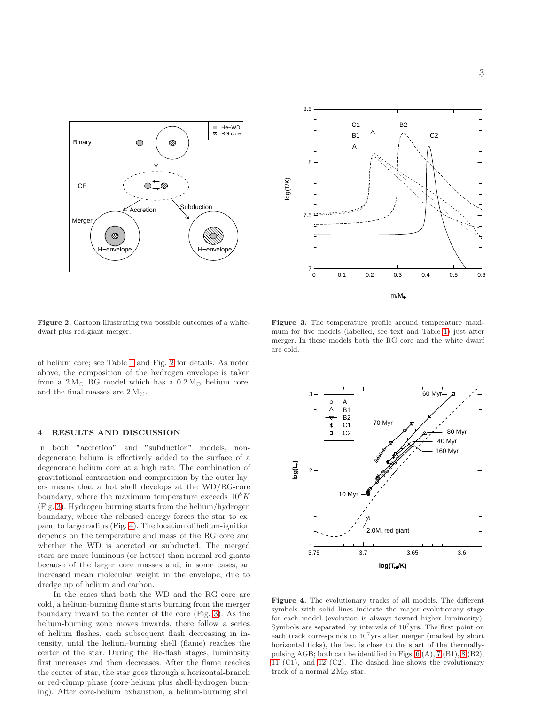

<span id="page-2-0"></span>Figure 2. Cartoon illustrating two possible outcomes of a whitedwarf plus red-giant merger.

of helium core; see Table [1](#page-3-0) and Fig. [2](#page-2-0) for details. As noted above, the composition of the hydrogen envelope is taken from a  $2 M_{\odot}$  RG model which has a  $0.2 M_{\odot}$  helium core, and the final masses are  $2 M_{\odot}$ .

### 4 RESULTS AND DISCUSSION

In both "accretion" and "subduction" models, nondegenerate helium is effectively added to the surface of a degenerate helium core at a high rate. The combination of gravitational contraction and compression by the outer layers means that a hot shell develops at the WD/RG-core boundary, where the maximum temperature exceeds  $10^8 K$ (Fig. [3\)](#page-2-1). Hydrogen burning starts from the helium/hydrogen boundary, where the released energy forces the star to expand to large radius (Fig. [4\)](#page-2-2). The location of helium-ignition depends on the temperature and mass of the RG core and whether the WD is accreted or subducted. The merged stars are more luminous (or hotter) than normal red giants because of the larger core masses and, in some cases, an increased mean molecular weight in the envelope, due to dredge up of helium and carbon.

In the cases that both the WD and the RG core are cold, a helium-burning flame starts burning from the merger boundary inward to the center of the core (Fig. [3\)](#page-2-1). As the helium-burning zone moves inwards, there follow a series of helium flashes, each subsequent flash decreasing in intensity, until the helium-burning shell (flame) reaches the center of the star. During the He-flash stages, luminosity first increases and then decreases. After the flame reaches the center of star, the star goes through a horizontal-branch or red-clump phase (core-helium plus shell-hydrogen burning). After core-helium exhaustion, a helium-burning shell



<span id="page-2-1"></span>Figure 3. The temperature profile around temperature maximum for five models (labelled, see text and Table [1\)](#page-3-0) just after merger. In these models both the RG core and the white dwarf are cold.



<span id="page-2-2"></span>Figure 4. The evolutionary tracks of all models. The different symbols with solid lines indicate the major evolutionary stage for each model (evolution is always toward higher luminosity). Symbols are separated by intervals of  $10<sup>7</sup>$ yrs. The first point on each track corresponds to  $10^7$ yrs after merger (marked by short horizontal ticks), the last is close to the start of the thermallypulsing AGB; both can be identified in Figs. [6](#page-3-1) (A), [7](#page-4-0) (B1), [8](#page-4-1) (B2), [11](#page-5-0) (C1), and [12](#page-5-1) (C2). The dashed line shows the evolutionary track of a normal  $2 M_{\odot}$  star.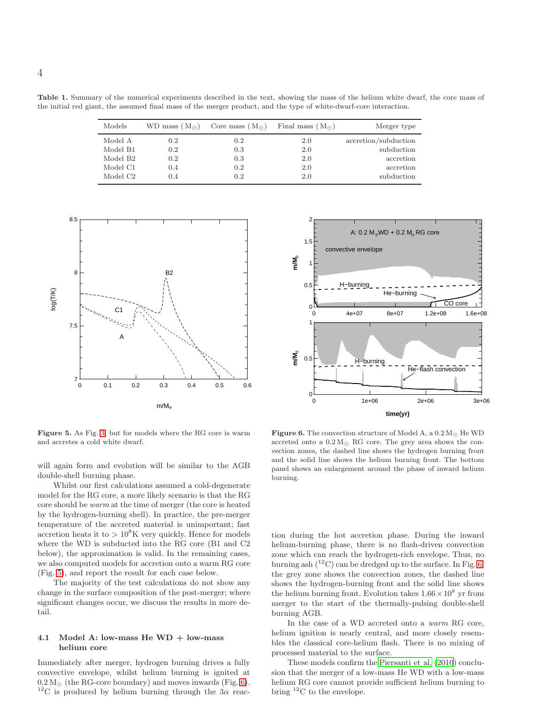Table 1. Summary of the numerical experiments described in the text, showing the mass of the helium white dwarf, the core mass of the initial red giant, the assumed final mass of the merger product, and the type of white-dwarf-core interaction.

<span id="page-3-0"></span>

| Models               |     | WD mass $(M_{\odot})$ Core mass $(M_{\odot})$ | Final mass $(M_{\odot})$ | Merger type          |
|----------------------|-----|-----------------------------------------------|--------------------------|----------------------|
| Model A              | 0.2 | 0.2                                           | 2.0                      | accretion/subduction |
| Model B1             | 0.2 | 0.3                                           | 2.0                      | subduction           |
| Model B <sub>2</sub> | 0.2 | 0.3                                           | 2.0                      | accretion            |
| Model C1             | 0.4 | 0.2                                           | 2.0                      | accretion            |
| Model C <sub>2</sub> | 0.4 | 0.2                                           | 2.0                      | subduction           |



<span id="page-3-2"></span>Figure 5. As Fig. [3,](#page-2-1) but for models where the RG core is warm and accretes a cold white dwarf.

will again form and evolution will be similar to the AGB double-shell burning phase.

Whilst our first calculations assumed a cold-degenerate model for the RG core, a more likely scenario is that the RG core should be warm at the time of merger (the core is heated by the hydrogen-burning shell). In practice, the pre-merger temperature of the accreted material is unimportant; fast accretion heats it to  $> 10^8$ K very quickly. Hence for models where the WD is subducted into the RG core (B1 and C2 below), the approximation is valid. In the remaining cases, we also computed models for accretion onto a warm RG core (Fig. [5\)](#page-3-2), and report the result for each case below.

The majority of the test calculations do not show any change in the surface composition of the post-merger; where significant changes occur, we discuss the results in more detail.

## 4.1 Model A: low-mass He  $WD + low-mass$ helium core

Immediately after merger, hydrogen burning drives a fully convective envelope, whilst helium burning is ignited at  $0.2 M_{\odot}$  (the RG-core boundary) and moves inwards (Fig. [6\)](#page-3-1). <sup>12</sup>C is produced by helium burning through the  $3\alpha$  reac-



<span id="page-3-1"></span>**Figure 6.** The convection structure of Model A, a  $0.2 M_{\odot}$  He WD accreted onto a  $0.2 M_{\odot}$  RG core. The grey area shows the convection zones, the dashed line shows the hydrogen burning front and the solid line shows the helium burning front. The bottom panel shows an enlargement around the phase of inward helium burning.

tion during the hot accretion phase. During the inward helium-burning phase, there is no flash-driven convection zone which can reach the hydrogen-rich envelope. Thus, no burning ash  $(^{12}C)$  can be dredged up to the surface. In Fig. [6,](#page-3-1) the grey zone shows the convection zones, the dashed line shows the hydrogen-burning front and the solid line shows the helium burning front. Evolution takes  $1.66 \times 10^8$  yr from merger to the start of the thermally-pulsing double-shell burning AGB.

In the case of a WD accreted onto a warm RG core, helium ignition is nearly central, and more closely resembles the classical core-helium flash. There is no mixing of processed material to the surface.

These models confirm the [Piersanti et al. \(2010\)](#page-9-2) conclusion that the merger of a low-mass He WD with a low-mass helium RG core cannot provide sufficient helium burning to bring  ${}^{12}$ C to the envelope.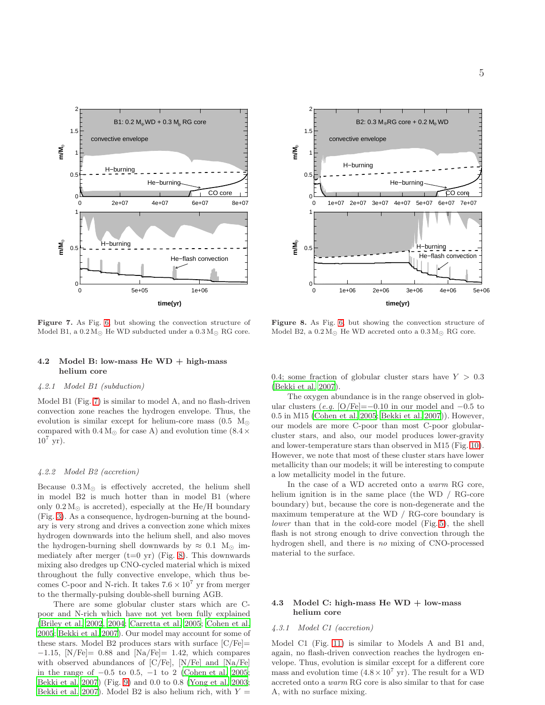

<span id="page-4-0"></span>Figure 7. As Fig. [6,](#page-3-1) but showing the convection structure of Model B1, a  $0.2 M_{\odot}$  He WD subducted under a  $0.3 M_{\odot}$  RG core.

## 4.2 Model B: low-mass He  $WD + high-mass$ helium core

# 4.2.1 Model B1 (subduction)

Model B1 (Fig. [7\)](#page-4-0) is similar to model A, and no flash-driven convection zone reaches the hydrogen envelope. Thus, the evolution is similar except for helium-core mass (0.5  $M_{\odot}$ ) compared with  $0.4 M_{\odot}$  for case A) and evolution time (8.4  $\times$  $10^7$  yr).

#### 4.2.2 Model B2 (accretion)

Because  $0.3 M_{\odot}$  is effectively accreted, the helium shell in model B2 is much hotter than in model B1 (where only  $0.2 M_{\odot}$  is accreted), especially at the He/H boundary (Fig. [3\)](#page-2-1). As a consequence, hydrogen-burning at the boundary is very strong and drives a convection zone which mixes hydrogen downwards into the helium shell, and also moves the hydrogen-burning shell downwards by  $\approx 0.1$  M<sub>☉</sub> immediately after merger  $(t=0 \text{ yr})$  (Fig. [8\)](#page-4-1). This downwards mixing also dredges up CNO-cycled material which is mixed throughout the fully convective envelope, which thus becomes C-poor and N-rich. It takes  $7.6 \times 10^7$  yr from merger to the thermally-pulsing double-shell burning AGB.

There are some globular cluster stars which are Cpoor and N-rich which have not yet been fully explained [\(Briley et al. 2002](#page-8-5), [2004;](#page-8-6) [Carretta et al. 2005;](#page-8-7) [Cohen et al.](#page-8-8) [2005](#page-8-8); [Bekki et al. 2007](#page-8-9)). Our model may account for some of these stars. Model B2 produces stars with surface  $\text{[C/Fe]}$  $-1.15$ , [N/Fe]= 0.88 and [Na/Fe]= 1.42, which compares with observed abundances of [C/Fe], [N/Fe] and [Na/Fe] in the range of −0.5 to 0.5, −1 to 2 [\(Cohen et al. 2005;](#page-8-8) [Bekki et al. 2007](#page-8-9)) (Fig. [9\)](#page-5-2) and 0.0 to 0.8 [\(Yong et al. 2003;](#page-9-5) [Bekki et al. 2007](#page-8-9)). Model B2 is also helium rich, with  $Y =$ 



<span id="page-4-1"></span>Figure 8. As Fig. [6,](#page-3-1) but showing the convection structure of Model B2, a  $0.2 M_{\odot}$  He WD accreted onto a  $0.3 M_{\odot}$  RG core.

0.4; some fraction of globular cluster stars have  $Y > 0.3$ [\(Bekki et al. 2007](#page-8-9)).

The oxygen abundance is in the range observed in globular clusters (e.g. [O/Fe]=−0.10 in our model and −0.5 to 0.5 in M15 [\(Cohen et al. 2005](#page-8-8); [Bekki et al. 2007](#page-8-9))). However, our models are more C-poor than most C-poor globularcluster stars, and also, our model produces lower-gravity and lower-temperature stars than observed in M15 (Fig. [10\)](#page-5-3). However, we note that most of these cluster stars have lower metallicity than our models; it will be interesting to compute a low metallicity model in the future.

In the case of a WD accreted onto a warm RG core, helium ignition is in the same place (the WD / RG-core boundary) but, because the core is non-degenerate and the maximum temperature at the WD / RG-core boundary is lower than that in the cold-core model (Fig. [5\)](#page-3-2), the shell flash is not strong enough to drive convection through the hydrogen shell, and there is no mixing of CNO-processed material to the surface.

## 4.3 Model C: high-mass He WD + low-mass helium core

# 4.3.1 Model C1 (accretion)

Model C1 (Fig. [11\)](#page-5-0) is similar to Models A and B1 and, again, no flash-driven convection reaches the hydrogen envelope. Thus, evolution is similar except for a different core mass and evolution time  $(4.8 \times 10^7 \text{ yr})$ . The result for a WD accreted onto a warm RG core is also similar to that for case A, with no surface mixing.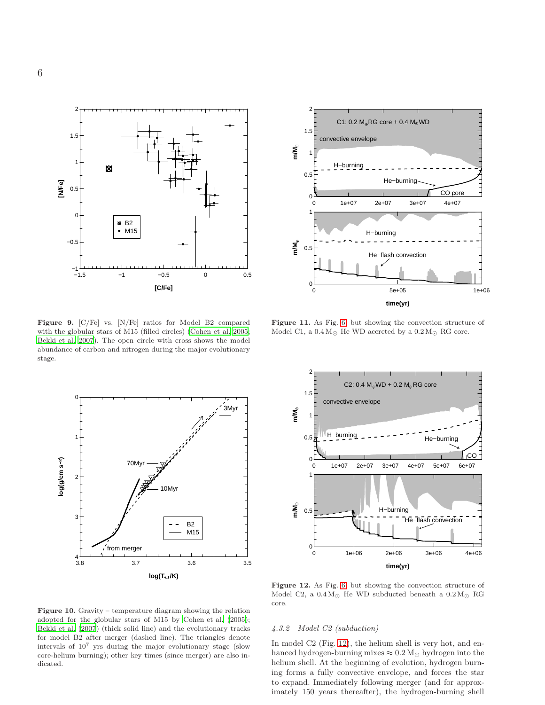

<span id="page-5-2"></span>Figure 9. [C/Fe] vs. [N/Fe] ratios for Model B2 compared with the globular stars of M15 (filled circles) [\(Cohen et al. 2005;](#page-8-8) [Bekki et al. 2007](#page-8-9)). The open circle with cross shows the model abundance of carbon and nitrogen during the major evolutionary stage.





**time(yr)**

<span id="page-5-0"></span>Figure 11. As Fig. [6,](#page-3-1) but showing the convection structure of Model C1, a  $0.4 M_{\odot}$  He WD accreted by a  $0.2 M_{\odot}$  RG core.



<span id="page-5-1"></span>Figure 12. As Fig. [6,](#page-3-1) but showing the convection structure of Model C2, a  $0.4 M_{\odot}$  He WD subducted beneath a  $0.2 M_{\odot}$  RG core.

<span id="page-5-3"></span>Figure 10. Gravity – temperature diagram showing the relation adopted for the globular stars of M15 by [Cohen et al. \(2005](#page-8-8)); [Bekki et al. \(2007](#page-8-9)) (thick solid line) and the evolutionary tracks for model B2 after merger (dashed line). The triangles denote intervals of 10<sup>7</sup> yrs during the major evolutionary stage (slow core-helium burning); other key times (since merger) are also indicated.

# 4.3.2 Model C2 (subduction)

In model C2 (Fig. [12\)](#page-5-1), the helium shell is very hot, and enhanced hydrogen-burning mixes  $\approx 0.2 M_{\odot}$  hydrogen into the helium shell. At the beginning of evolution, hydrogen burning forms a fully convective envelope, and forces the star to expand. Immediately following merger (and for approximately 150 years thereafter), the hydrogen-burning shell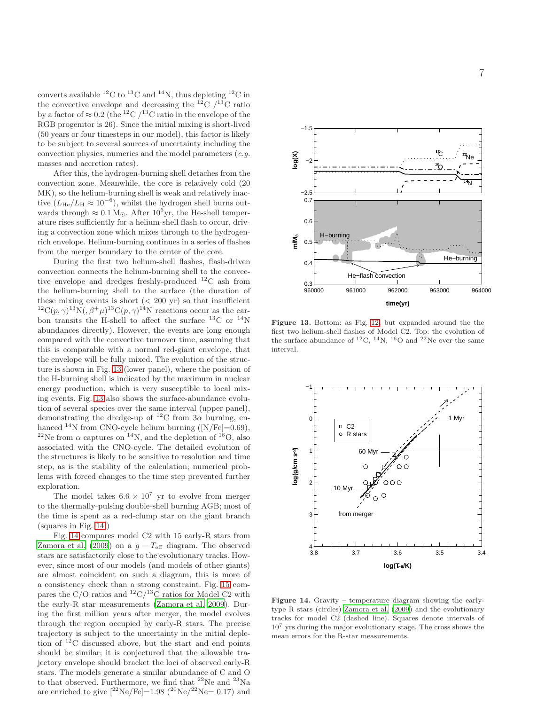converts available  ${}^{12}$ C to  ${}^{13}$ C and  ${}^{14}$ N, thus depleting  ${}^{12}$ C in the convective envelope and decreasing the <sup>12</sup>C  $/$ <sup>13</sup>C ratio by a factor of  $\approx 0.2$  (the <sup>12</sup>C /<sup>13</sup>C ratio in the envelope of the RGB progenitor is 26). Since the initial mixing is short-lived (50 years or four timesteps in our model), this factor is likely to be subject to several sources of uncertainty including the convection physics, numerics and the model parameters (e.g. masses and accretion rates).

After this, the hydrogen-burning shell detaches from the convection zone. Meanwhile, the core is relatively cold (20 MK), so the helium-burning shell is weak and relatively inactive  $(L_{\text{He}}/L_{\text{H}} \approx 10^{-6})$ , whilst the hydrogen shell burns outwards through  $\approx 0.1 \,\mathrm{M}_{\odot}$ . After  $10^6 \text{yr}$ , the He-shell temperature rises sufficiently for a helium-shell flash to occur, driving a convection zone which mixes through to the hydrogenrich envelope. Helium-burning continues in a series of flashes from the merger boundary to the center of the core.

During the first two helium-shell flashes, flash-driven convection connects the helium-burning shell to the convective envelope and dredges freshly-produced <sup>12</sup>C ash from the helium-burning shell to the surface (the duration of these mixing events is short  $( $200 \text{ yr}$ )$  so that insufficient  ${}^{12}C(p,\gamma){}^{13}N(,\beta^+\mu){}^{13}C(p,\gamma){}^{14}N$  reactions occur as the carbon transits the H-shell to affect the surface  $^{13}$ C or  $^{14}$ N abundances directly). However, the events are long enough compared with the convective turnover time, assuming that this is comparable with a normal red-giant envelope, that the envelope will be fully mixed. The evolution of the structure is shown in Fig. [13](#page-6-0) (lower panel), where the position of the H-burning shell is indicated by the maximum in nuclear energy production, which is very susceptible to local mixing events. Fig. [13](#page-6-0) also shows the surface-abundance evolution of several species over the same interval (upper panel), demonstrating the dredge-up of <sup>12</sup>C from  $3\alpha$  burning, enhanced  $^{14}$ N from CNO-cycle helium burning ([N/Fe]=0.69), <sup>22</sup>Ne from  $\alpha$  captures on <sup>14</sup>N, and the depletion of <sup>16</sup>O, also associated with the CNO-cycle. The detailed evolution of the structures is likely to be sensitive to resolution and time step, as is the stability of the calculation; numerical problems with forced changes to the time step prevented further exploration.

The model takes  $6.6 \times 10^7$  yr to evolve from merger to the thermally-pulsing double-shell burning AGB; most of the time is spent as a red-clump star on the giant branch (squares in Fig. [14.](#page-6-1))

Fig. [14](#page-6-1) compares model C2 with 15 early-R stars from [Zamora et al. \(2009](#page-9-1)) on a  $g - T_{\text{eff}}$  diagram. The observed stars are satisfactorily close to the evolutionary tracks. However, since most of our models (and models of other giants) are almost coincident on such a diagram, this is more of a consistency check than a strong constraint. Fig. [15](#page-7-0) compares the C/O ratios and  ${}^{12}C/{}^{13}C$  ratios for Model C2 with the early-R star measurements [\(Zamora et al. 2009](#page-9-1)). During the first million years after merger, the model evolves through the region occupied by early-R stars. The precise trajectory is subject to the uncertainty in the initial depletion of  $^{12}$ C discussed above, but the start and end points should be similar; it is conjectured that the allowable trajectory envelope should bracket the loci of observed early-R stars. The models generate a similar abundance of C and O to that observed. Furthermore, we find that  $^{22}$ Ne and  $^{23}$ Na are enriched to give  $[^{22}\text{Ne}/\text{Fe}]=1.98$   $(^{20}\text{Ne}/^{22}\text{Ne}=0.17)$  and



<span id="page-6-0"></span>Figure 13. Bottom: as Fig. [12,](#page-5-1) but expanded around the the first two helium-shell flashes of Model C2. Top: the evolution of the surface abundance of <sup>12</sup>C, <sup>14</sup>N, <sup>16</sup>O and <sup>22</sup>Ne over the same interval.



<span id="page-6-1"></span>Figure 14. Gravity – temperature diagram showing the earlytype R stars (circles) [Zamora et al. \(2009](#page-9-1)) and the evolutionary tracks for model C2 (dashed line). Squares denote intervals of 10<sup>7</sup> yrs during the major evolutionary stage. The cross shows the mean errors for the R-star measurements.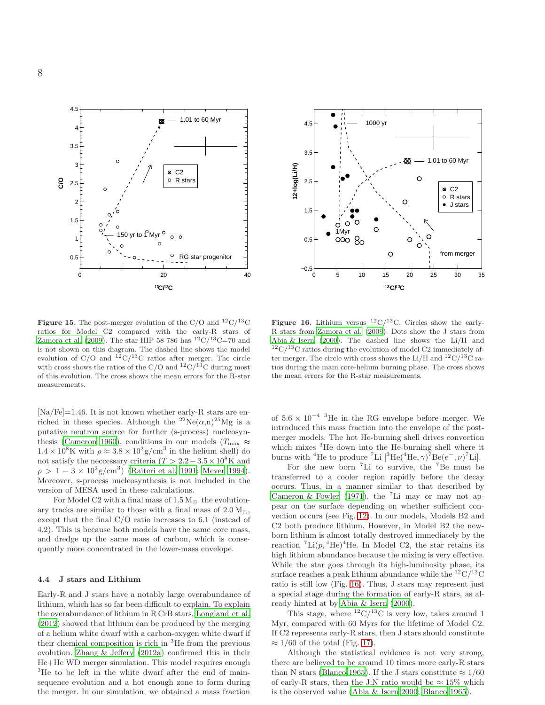

<span id="page-7-0"></span>

 $[Na/Fe]=1.46$ . It is not known whether early-R stars are enriched in these species. Although the  ${}^{22}Ne(\alpha,n){}^{25}Mg$  is a putative neutron source for further (s-process) nucleosyn-thesis [\(Cameron 1960](#page-8-10)), conditions in our models ( $T_{\text{max}} \approx$  $1.4 \times 10^8$ K with  $\rho \approx 3.8 \times 10^3$  g/cm<sup>3</sup> in the helium shell) do not satisfy the neccessary criteria  $(T > 2.2 - 3.5 \times 10^8 \text{K}$  and  $\rho > 1 - 3 \times 10^3$  g/cm<sup>3</sup>) [\(Raiteri et al. 1991](#page-9-6); [Meyer 1994](#page-8-11)). Moreover, s-process nucleosynthesis is not included in the version of MESA used in these calculations.

For Model C2 with a final mass of  $1.5 M_{\odot}$  the evolutionary tracks are similar to those with a final mass of  $2.0 M_{\odot}$ , except that the final C/O ratio increases to 6.1 (instead of 4.2). This is because both models have the same core mass, and dredge up the same mass of carbon, which is consequently more concentrated in the lower-mass envelope.

#### 4.4 J stars and Lithium

Early-R and J stars have a notably large overabundance of lithium, which has so far been difficult to explain. To explain the overabundance of lithium in R CrB stars, [Longland et al.](#page-8-12) [\(2012](#page-8-12)) showed that lithium can be produced by the merging of a helium white dwarf with a carbon-oxygen white dwarf if their chemical composition is rich in  ${}^{3}$ He from the previous evolution. [Zhang & Jeffery \(2012a](#page-9-7)) confirmed this in their He+He WD merger simulation. This model requires enough <sup>3</sup>He to be left in the white dwarf after the end of mainsequence evolution and a hot enough zone to form during the merger. In our simulation, we obtained a mass fraction



<span id="page-7-1"></span>Figure 16. Lithium versus  ${}^{12}C/{}^{13}C$ . Circles show the early-R stars from [Zamora et al. \(2009](#page-9-1)). Dots show the J stars from [Abia & Isern \(2000](#page-8-1)). The dashed line shows the Li/H and  $12^1C/13C$  ratios during the evolution of model C2 immediately after merger. The circle with cross shows the Li/H and  $\rm ^{12}C/^{13}C$  ratios during the main core-helium burning phase. The cross shows the mean errors for the R-star measurements.

of  $5.6 \times 10^{-4}$  <sup>3</sup>He in the RG envelope before merger. We introduced this mass fraction into the envelope of the postmerger models. The hot He-burning shell drives convection which mixes <sup>3</sup>He down into the He-burning shell where it burns with <sup>4</sup>He to produce <sup>7</sup>Li [<sup>3</sup>He(<sup>4</sup>He,  $\gamma$ )<sup>7</sup>Be( $e^-$ ,  $\nu$ )<sup>7</sup>Li].

For the new born  ${}^{7}$ Li to survive, the  ${}^{7}$ Be must be transferred to a cooler region rapidly before the decay occurs. Thus, in a manner similar to that described by [Cameron & Fowler \(1971](#page-8-13)), the <sup>7</sup>Li may or may not appear on the surface depending on whether sufficient convection occurs (see Fig. [12\)](#page-5-1). In our models, Models B2 and C2 both produce lithium. However, in Model B2 the newborn lithium is almost totally destroyed immediately by the reaction  ${}^{7}$ Li(p,  ${}^{4}$ He)<sup> ${}^{4}$ He. In Model C2, the star retains its</sup> high lithium abundance because the mixing is very effective. While the star goes through its high-luminosity phase, its surface reaches a peak lithium abundance while the  ${}^{12}C/{}^{13}C$ ratio is still low (Fig. [16\)](#page-7-1). Thus, J stars may represent just a special stage during the formation of early-R stars, as already hinted at by [Abia & Isern \(2000](#page-8-1)).

This stage, where  ${}^{12}C/{}^{13}C$  is very low, takes around 1 Myr, compared with 60 Myrs for the lifetime of Model C2. If C2 represents early-R stars, then J stars should constitute  $\approx 1/60$  of the total (Fig. [17\)](#page-8-14).

Although the statistical evidence is not very strong, there are believed to be around 10 times more early-R stars than N stars [\(Blanco 1965](#page-8-15)). If the J stars constitute  $\approx 1/60$ of early-R stars, then the J:N ratio would be  $\approx 15\%$  which is the observed value [\(Abia & Isern 2000](#page-8-1); [Blanco 1965](#page-8-15)).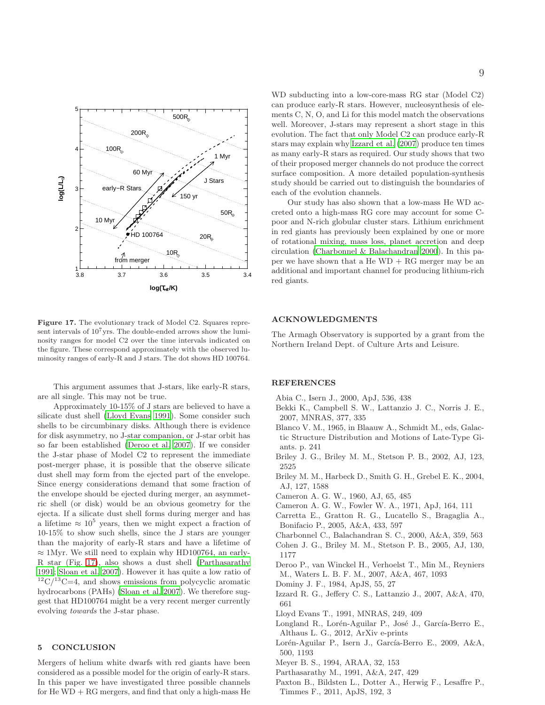

<span id="page-8-14"></span>Figure 17. The evolutionary track of Model C2. Squares represent intervals of  $10^7$ yrs. The double-ended arrows show the luminosity ranges for model C2 over the time intervals indicated on the figure. These correspond approximately with the observed luminosity ranges of early-R and J stars. The dot shows HD 100764.

This argument assumes that J-stars, like early-R stars, are all single. This may not be true.

Approximately 10-15% of J stars are believed to have a silicate dust shell [\(Lloyd Evans 1991\)](#page-8-16). Some consider such shells to be circumbinary disks. Although there is evidence for disk asymmetry, no J-star companion, or J-star orbit has so far been established [\(Deroo et al. 2007\)](#page-8-17). If we consider the J-star phase of Model C2 to represent the immediate post-merger phase, it is possible that the observe silicate dust shell may form from the ejected part of the envelope. Since energy considerations demand that some fraction of the envelope should be ejected during merger, an asymmetric shell (or disk) would be an obvious geometry for the ejecta. If a silicate dust shell forms during merger and has a lifetime  $\approx 10^5$  years, then we might expect a fraction of 10-15% to show such shells, since the J stars are younger than the majority of early-R stars and have a lifetime of  $\approx 1$ Myr. We still need to explain why HD100764, an early-R star (Fig. [17\)](#page-8-14), also shows a dust shell [\(Parthasarathy](#page-8-18) [1991](#page-8-18); [Sloan et al. 2007](#page-9-8)). However it has quite a low ratio of  $12^1C^{13}C=4$ , and shows emissions from polycyclic aromatic hydrocarbons (PAHs) [\(Sloan et al. 2007](#page-9-8)). We therefore suggest that HD100764 might be a very recent merger currently evolving towards the J-star phase.

# 5 CONCLUSION

Mergers of helium white dwarfs with red giants have been considered as a possible model for the origin of early-R stars. In this paper we have investigated three possible channels for  $He WD + RG$  mergers, and find that only a high-mass  $He$  WD subducting into a low-core-mass RG star (Model C2) can produce early-R stars. However, nucleosynthesis of elements C, N, O, and Li for this model match the observations well. Moreover, J-stars may represent a short stage in this evolution. The fact that only Model C2 can produce early-R stars may explain why [Izzard et al. \(2007\)](#page-8-2) produce ten times as many early-R stars as required. Our study shows that two of their proposed merger channels do not produce the correct surface composition. A more detailed population-synthesis study should be carried out to distinguish the boundaries of each of the evolution channels.

Our study has also shown that a low-mass He WD accreted onto a high-mass RG core may account for some Cpoor and N-rich globular cluster stars. Lithium enrichment in red giants has previously been explained by one or more of rotational mixing, mass loss, planet accretion and deep circulation [\(Charbonnel & Balachandran 2000\)](#page-8-19). In this paper we have shown that a  $He WD + RG$  merger may be an additional and important channel for producing lithium-rich red giants.

## ACKNOWLEDGMENTS

The Armagh Observatory is supported by a grant from the Northern Ireland Dept. of Culture Arts and Leisure.

#### REFERENCES

- <span id="page-8-1"></span>Abia C., Isern J., 2000, ApJ, 536, 438
- <span id="page-8-9"></span>Bekki K., Campbell S. W., Lattanzio J. C., Norris J. E., 2007, MNRAS, 377, 335
- <span id="page-8-15"></span>Blanco V. M., 1965, in Blaauw A., Schmidt M., eds, Galactic Structure Distribution and Motions of Late-Type Giants. p. 241
- <span id="page-8-5"></span>Briley J. G., Briley M. M., Stetson P. B., 2002, AJ, 123, 2525
- <span id="page-8-6"></span>Briley M. M., Harbeck D., Smith G. H., Grebel E. K., 2004, AJ, 127, 1588
- <span id="page-8-10"></span>Cameron A. G. W., 1960, AJ, 65, 485
- <span id="page-8-13"></span>Cameron A. G. W., Fowler W. A., 1971, ApJ, 164, 111
- <span id="page-8-7"></span>Carretta E., Gratton R. G., Lucatello S., Bragaglia A., Bonifacio P., 2005, A&A, 433, 597
- <span id="page-8-19"></span>Charbonnel C., Balachandran S. C., 2000, A&A, 359, 563
- <span id="page-8-8"></span>Cohen J. G., Briley M. M., Stetson P. B., 2005, AJ, 130, 1177
- <span id="page-8-17"></span>Deroo P., van Winckel H., Verhoelst T., Min M., Reyniers
- M., Waters L. B. F. M., 2007, A&A, 467, 1093
- <span id="page-8-0"></span>Dominy J. F., 1984, ApJS, 55, 27
- <span id="page-8-2"></span>Izzard R. G., Jeffery C. S., Lattanzio J., 2007, A&A, 470, 661
- <span id="page-8-16"></span>Lloyd Evans T., 1991, MNRAS, 249, 409
- <span id="page-8-12"></span>Longland R., Lorén-Aguilar P., José J., García-Berro E., Althaus L. G., 2012, ArXiv e-prints
- <span id="page-8-3"></span>Lorén-Aguilar P., Isern J., García-Berro E., 2009, A&A, 500, 1193
- <span id="page-8-11"></span>Meyer B. S., 1994, ARAA, 32, 153
- <span id="page-8-18"></span>Parthasarathy M., 1991, A&A, 247, 429
- <span id="page-8-4"></span>Paxton B., Bildsten L., Dotter A., Herwig F., Lesaffre P., Timmes F., 2011, ApJS, 192, 3